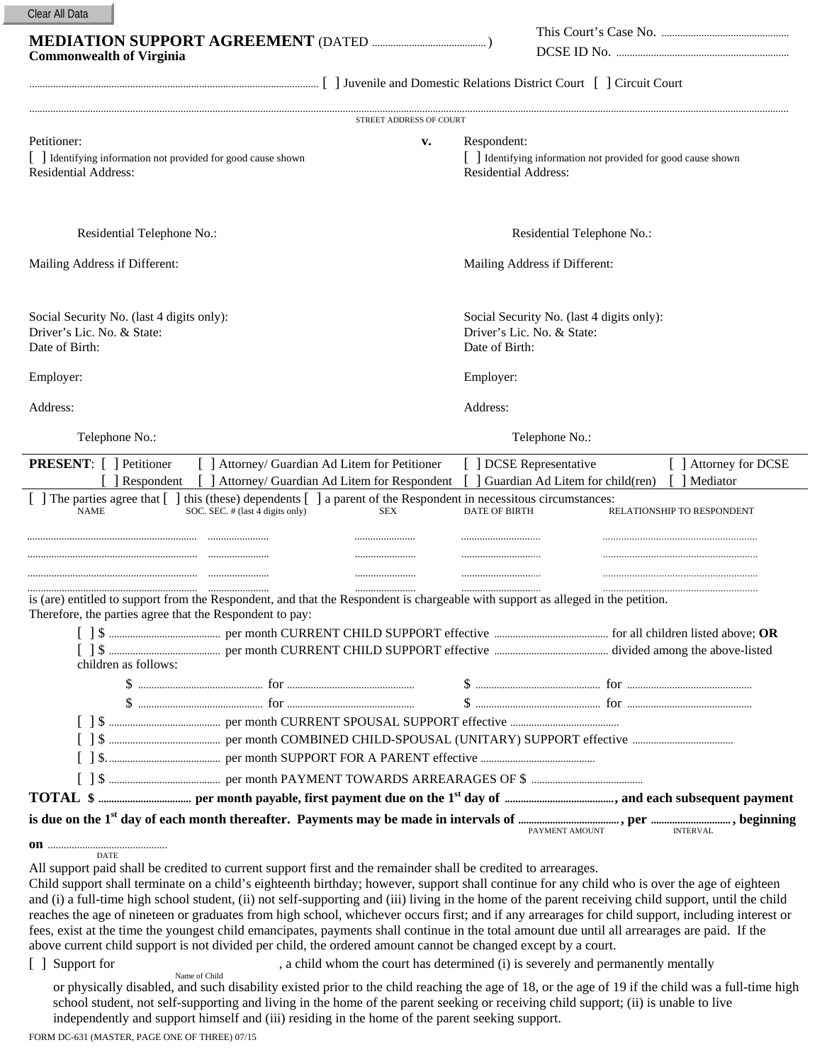| Clear All Data |  |  |
|----------------|--|--|
|----------------|--|--|

| <b>MEDIATION SUPPORT AGREEMENT (DATED)</b> | I his Court's Case No |
|--------------------------------------------|-----------------------|
| <b>Commonwealth of Virginia</b>            | DCSE ID No            |
|                                            |                       |

| This Court's Case No. |
|-----------------------|
| DCSE ID No.           |

| STREET ADDRESS OF COUR'                                                                                                                                                                                                                                                 |                                                             |                                                                         |  |  |  |  |
|-------------------------------------------------------------------------------------------------------------------------------------------------------------------------------------------------------------------------------------------------------------------------|-------------------------------------------------------------|-------------------------------------------------------------------------|--|--|--|--|
| Petitioner:<br>v.<br>[ ] Identifying information not provided for good cause shown<br><b>Residential Address:</b>                                                                                                                                                       | Respondent:<br><b>Residential Address:</b>                  | [ ] Identifying information not provided for good cause shown           |  |  |  |  |
| Residential Telephone No.:                                                                                                                                                                                                                                              | Residential Telephone No.:                                  |                                                                         |  |  |  |  |
| Mailing Address if Different:                                                                                                                                                                                                                                           |                                                             | Mailing Address if Different:                                           |  |  |  |  |
| Social Security No. (last 4 digits only):<br>Driver's Lic. No. & State:<br>Date of Birth:                                                                                                                                                                               | Date of Birth:                                              | Social Security No. (last 4 digits only):<br>Driver's Lic. No. & State: |  |  |  |  |
| Employer:                                                                                                                                                                                                                                                               | Employer:                                                   |                                                                         |  |  |  |  |
| Address:                                                                                                                                                                                                                                                                | Address:                                                    |                                                                         |  |  |  |  |
| Telephone No.:                                                                                                                                                                                                                                                          | Telephone No.:                                              |                                                                         |  |  |  |  |
| <b>PRESENT:</b> [ ] Petitioner<br>[ ] Attorney/ Guardian Ad Litem for Petitioner<br>[ ] Attorney/ Guardian Ad Litem for Respondent<br>Respondent<br>[ ] The parties agree that [ ] this (these) dependents [ ] a parent of the Respondent in necessitous circumstances: | [ ] DCSE Representative<br>Guardian Ad Litem for child(ren) | [ ] Attorney for DCSE<br>Mediator                                       |  |  |  |  |
| SOC. SEC. # (last 4 digits only)<br><b>NAME</b><br><b>SEX</b>                                                                                                                                                                                                           | <b>DATE OF BIRTH</b>                                        | RELATIONSHIP TO RESPONDENT                                              |  |  |  |  |
| is (are) entitled to support from the Respondent, and that the Respondent is chargeable with support as alleged in the petition.<br>Therefore, the parties agree that the Respondent to pay:                                                                            |                                                             |                                                                         |  |  |  |  |
| children as follows:                                                                                                                                                                                                                                                    |                                                             |                                                                         |  |  |  |  |
|                                                                                                                                                                                                                                                                         |                                                             |                                                                         |  |  |  |  |
|                                                                                                                                                                                                                                                                         |                                                             |                                                                         |  |  |  |  |
|                                                                                                                                                                                                                                                                         |                                                             |                                                                         |  |  |  |  |
|                                                                                                                                                                                                                                                                         |                                                             |                                                                         |  |  |  |  |
|                                                                                                                                                                                                                                                                         |                                                             |                                                                         |  |  |  |  |
|                                                                                                                                                                                                                                                                         |                                                             |                                                                         |  |  |  |  |
|                                                                                                                                                                                                                                                                         |                                                             |                                                                         |  |  |  |  |
|                                                                                                                                                                                                                                                                         | PAYMENT AMOUNT                                              | <b>INTERVAL</b>                                                         |  |  |  |  |

All support paid shall be credited to current support first and the remainder shall be credited to arrearages.

Child support shall terminate on a child's eighteenth birthday; however, support shall continue for any child who is over the age of eighteen and (i) a full-time high school student, (ii) not self-supporting and (iii) living in the home of the parent receiving child support, until the child reaches the age of nineteen or graduates from high school, whichever occurs first; and if any arrearages for child support, including interest or fees, exist at the time the youngest child emancipates, payments shall continue in the total amount due until all arrearages are paid. If the above current child support is not divided per child, the ordered amount cannot be changed except by a court.

[ ] Support for  $\blacksquare$ , a child whom the court has determined (i) is severely and permanently mentally Name of Child

or physically disabled, and such disability existed prior to the child reaching the age of 18, or the age of 19 if the child was a full-time high school student, not self-supporting and living in the home of the parent seeking or receiving child support; (ii) is unable to live independently and support himself and (iii) residing in the home of the parent seeking support.

FORM DC-631 (MASTER, PAGE ONE OF THREE) 07/15

**on** ............................................. DATE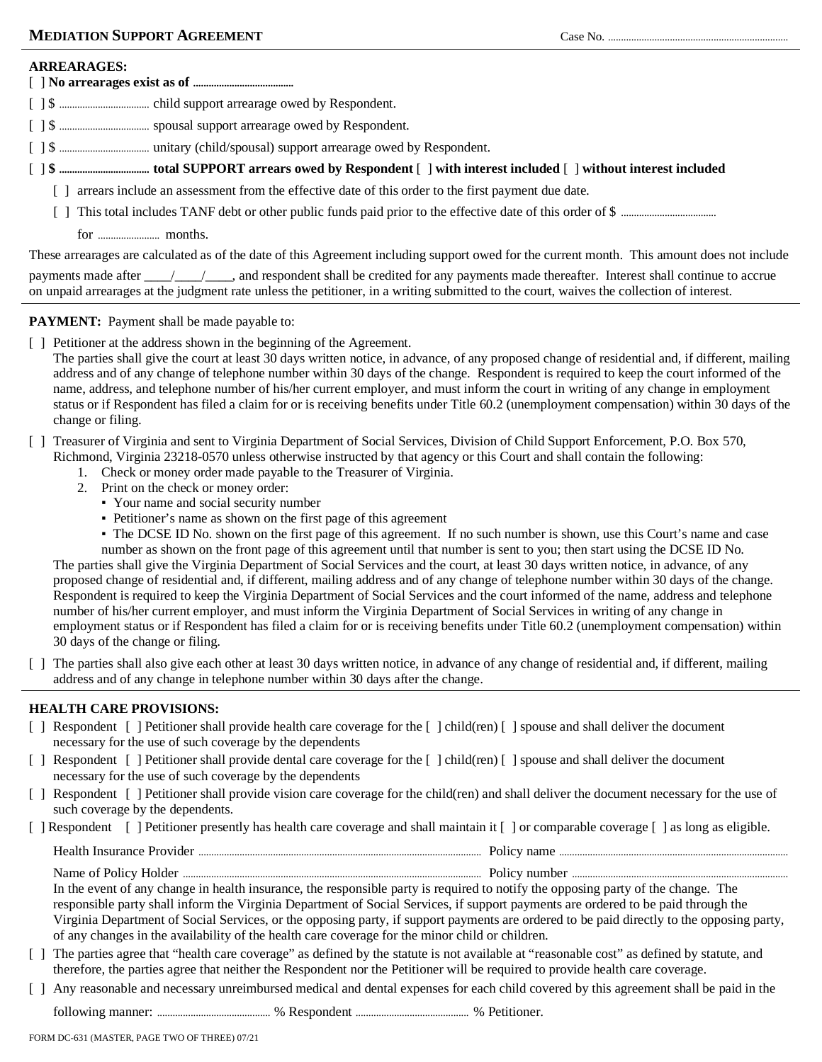### **ARREARAGES:**

### [ ] **No arrearages exist as of .......................................**

[ ] \$ ................................... child support arrearage owed by Respondent.

- [ ] \$ ................................... spousal support arrearage owed by Respondent.
- [ ] \$ ................................... unitary (child/spousal) support arrearage owed by Respondent.
- [ ] **\$ ................................... total SUPPORT arrears owed by Respondent** [ ] **with interest included** [ ] **without interest included**
	- [ ] arrears include an assessment from the effective date of this order to the first payment due date.
	- [ ] This total includes TANF debt or other public funds paid prior to the effective date of this order of \$ .....................................
		- for ........................ months.

These arrearages are calculated as of the date of this Agreement including support owed for the current month. This amount does not include

| payments made after ______________, and respondent shall be credited for any payments made thereafter. Interest shall continue to accrue |  |  |  |  |  |
|------------------------------------------------------------------------------------------------------------------------------------------|--|--|--|--|--|
| on unpaid arrearages at the judgment rate unless the petitioner, in a writing submitted to the court, waives the collection of interest. |  |  |  |  |  |

## **PAYMENT:** Payment shall be made payable to:

[ ] Petitioner at the address shown in the beginning of the Agreement.

The parties shall give the court at least 30 days written notice, in advance, of any proposed change of residential and, if different, mailing address and of any change of telephone number within 30 days of the change. Respondent is required to keep the court informed of the name, address, and telephone number of his/her current employer, and must inform the court in writing of any change in employment status or if Respondent has filed a claim for or is receiving benefits under Title 60.2 (unemployment compensation) within 30 days of the change or filing.

- [ ] Treasurer of Virginia and sent to Virginia Department of Social Services, Division of Child Support Enforcement, P.O. Box 570,
	- Richmond, Virginia 23218-0570 unless otherwise instructed by that agency or this Court and shall contain the following:
		- 1. Check or money order made payable to the Treasurer of Virginia.
		- 2. Print on the check or money order:
			- Your name and social security number
			- Petitioner's name as shown on the first page of this agreement
			- The DCSE ID No. shown on the first page of this agreement. If no such number is shown, use this Court's name and case

number as shown on the front page of this agreement until that number is sent to you; then start using the DCSE ID No. The parties shall give the Virginia Department of Social Services and the court, at least 30 days written notice, in advance, of any proposed change of residential and, if different, mailing address and of any change of telephone number within 30 days of the change. Respondent is required to keep the Virginia Department of Social Services and the court informed of the name, address and telephone number of his/her current employer, and must inform the Virginia Department of Social Services in writing of any change in employment status or if Respondent has filed a claim for or is receiving benefits under Title 60.2 (unemployment compensation) within 30 days of the change or filing.

[ ] The parties shall also give each other at least 30 days written notice, in advance of any change of residential and, if different, mailing address and of any change in telephone number within 30 days after the change.

## **HEALTH CARE PROVISIONS:**

- [ ] Respondent [ ] Petitioner shall provide health care coverage for the [ ] child(ren) [ ] spouse and shall deliver the document necessary for the use of such coverage by the dependents
- [ ] Respondent [ ] Petitioner shall provide dental care coverage for the [ ] child(ren) [ ] spouse and shall deliver the document necessary for the use of such coverage by the dependents
- [ ] Respondent [ ] Petitioner shall provide vision care coverage for the child(ren) and shall deliver the document necessary for the use of such coverage by the dependents.
- [ ] Respondent [ ] Petitioner presently has health care coverage and shall maintain it [ ] or comparable coverage [ ] as long as eligible.

| . | <b>OHC</b><br>. |
|---|-----------------|
|   | OП<br>.         |

In the event of any change in health insurance, the responsible party is required to notify the opposing party of the change. The responsible party shall inform the Virginia Department of Social Services, if support payments are ordered to be paid through the Virginia Department of Social Services, or the opposing party, if support payments are ordered to be paid directly to the opposing party, of any changes in the availability of the health care coverage for the minor child or children.

- [ ] The parties agree that "health care coverage" as defined by the statute is not available at "reasonable cost" as defined by statute, and therefore, the parties agree that neither the Respondent nor the Petitioner will be required to provide health care coverage.
- [ ] Any reasonable and necessary unreimbursed medical and dental expenses for each child covered by this agreement shall be paid in the
	- following manner: ............................................ % Respondent ............................................ % Petitioner.